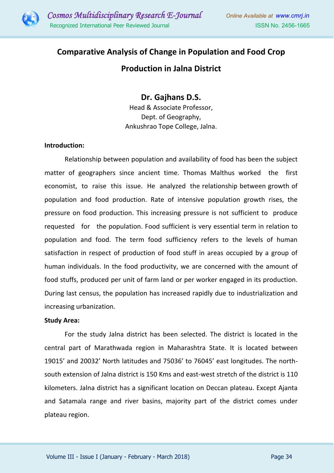

# **Comparative Analysis of Change in Population and Food Crop Production in Jalna District**

# **Dr. Gajhans D.S.**

Head & Associate Professor, Dept. of Geography, Ankushrao Tope College, Jalna.

#### **Introduction:**

Relationship between population and availability of food has been the subject matter of geographers since ancient time. Thomas Malthus worked the first economist, to raise this issue. He analyzed the relationship between growth of population and food production. Rate of intensive population growth rises, the pressure on food production. This increasing pressure is not sufficient to produce requested for the population. Food sufficient is very essential term in relation to population and food. The term food sufficiency refers to the levels of human satisfaction in respect of production of food stuff in areas occupied by a group of human individuals. In the food productivity, we are concerned with the amount of food stuffs, produced per unit of farm land or per worker engaged in its production. During last census, the population has increased rapidly due to industrialization and increasing urbanization.

#### **Study Area:**

For the study Jalna district has been selected. The district is located in the central part of Marathwada region in Maharashtra State. It is located between 19015' and 20032' North latitudes and 75036' to 76045' east longitudes. The northsouth extension of Jalna district is 150 Kms and east-west stretch of the district is 110 kilometers. Jalna district has a significant location on Deccan plateau. Except Ajanta and Satamala range and river basins, majority part of the district comes under plateau region.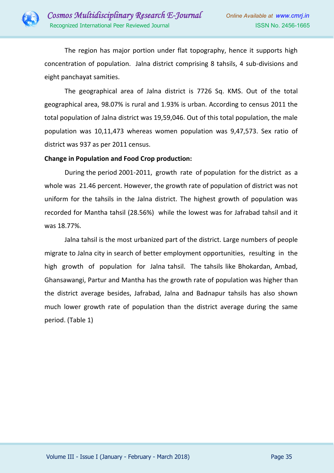

The region has major portion under flat topography, hence it supports high concentration of population. Jalna district comprising 8 tahsils, 4 sub-divisions and eight panchayat samities.

The geographical area of Jalna district is 7726 Sq. KMS. Out of the total geographical area, 98.07% is rural and 1.93% is urban. According to census 2011 the total population of Jalna district was 19,59,046. Out of this total population, the male population was 10,11,473 whereas women population was 9,47,573. Sex ratio of district was 937 as per 2011 census.

#### **Change in Population and Food Crop production:**

During the period 2001-2011, growth rate of population for the district as a whole was 21.46 percent. However, the growth rate of population of district was not uniform for the tahsils in the Jalna district. The highest growth of population was recorded for Mantha tahsil (28.56%) while the lowest was for Jafrabad tahsil and it was 18.77%.

Jalna tahsil is the most urbanized part of the district. Large numbers of people migrate to Jalna city in search of better employment opportunities, resulting in the high growth of population for Jalna tahsil. The tahsils like Bhokardan, Ambad, Ghansawangi, Partur and Mantha has the growth rate of population was higher than the district average besides, Jafrabad, Jalna and Badnapur tahsils has also shown much lower growth rate of population than the district average during the same period. (Table 1)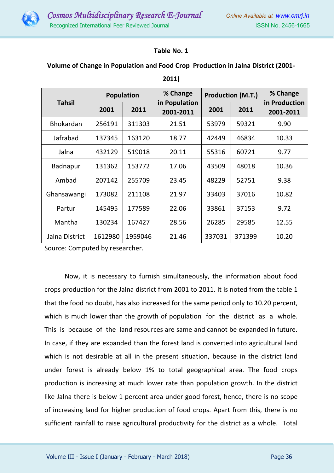

## **Table No. 1**

### **Volume of Change in Population and Food Crop Production in Jalna District (2001-**

| <b>Tahsil</b>    | <b>Population</b> |         | % Change                   | <b>Production (M.T.)</b> |        | % Change                   |
|------------------|-------------------|---------|----------------------------|--------------------------|--------|----------------------------|
|                  | 2001              | 2011    | in Population<br>2001-2011 | 2001                     | 2011   | in Production<br>2001-2011 |
| <b>Bhokardan</b> | 256191            | 311303  | 21.51                      | 53979                    | 59321  | 9.90                       |
| Jafrabad         | 137345            | 163120  | 18.77                      | 42449                    | 46834  | 10.33                      |
| Jalna            | 432129            | 519018  | 20.11                      | 55316                    | 60721  | 9.77                       |
| Badnapur         | 131362            | 153772  | 17.06                      | 43509                    | 48018  | 10.36                      |
| Ambad            | 207142            | 255709  | 23.45                      | 48229                    | 52751  | 9.38                       |
| Ghansawangi      | 173082            | 211108  | 21.97                      | 33403                    | 37016  | 10.82                      |
| Partur           | 145495            | 177589  | 22.06                      | 33861                    | 37153  | 9.72                       |
| Mantha           | 130234            | 167427  | 28.56                      | 26285                    | 29585  | 12.55                      |
| Jalna District   | 1612980           | 1959046 | 21.46                      | 337031                   | 371399 | 10.20                      |

**2011)**

Source: Computed by researcher.

Now, it is necessary to furnish simultaneously, the information about food crops production for the Jalna district from 2001 to 2011. It is noted from the table 1 that the food no doubt, has also increased for the same period only to 10.20 percent, which is much lower than the growth of population for the district as a whole. This is because of the land resources are same and cannot be expanded in future. In case, if they are expanded than the forest land is converted into agricultural land which is not desirable at all in the present situation, because in the district land under forest is already below 1% to total geographical area. The food crops production is increasing at much lower rate than population growth. In the district like Jalna there is below 1 percent area under good forest, hence, there is no scope of increasing land for higher production of food crops. Apart from this, there is no sufficient rainfall to raise agricultural productivity for the district as a whole. Total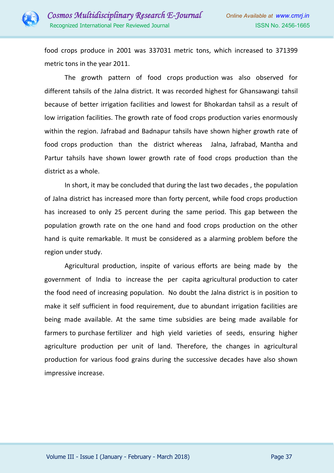

food crops produce in 2001 was 337031 metric tons, which increased to 371399 metric tons in the year 2011.

The growth pattern of food crops production was also observed for different tahsils of the Jalna district. It was recorded highest for Ghansawangi tahsil because of better irrigation facilities and lowest for Bhokardan tahsil as a result of low irrigation facilities. The growth rate of food crops production varies enormously within the region. Jafrabad and Badnapur tahsils have shown higher growth rate of food crops production than the district whereas Jalna, Jafrabad, Mantha and Partur tahsils have shown lower growth rate of food crops production than the district as a whole.

In short, it may be concluded that during the last two decades , the population of Jalna district has increased more than forty percent, while food crops production has increased to only 25 percent during the same period. This gap between the population growth rate on the one hand and food crops production on the other hand is quite remarkable. It must be considered as a alarming problem before the region under study.

Agricultural production, inspite of various efforts are being made by the government of India to increase the per capita agricultural production to cater the food need of increasing population. No doubt the Jalna district is in position to make it self sufficient in food requirement, due to abundant irrigation facilities are being made available. At the same time subsidies are being made available for farmers to purchase fertilizer and high yield varieties of seeds, ensuring higher agriculture production per unit of land. Therefore, the changes in agricultural production for various food grains during the successive decades have also shown impressive increase.